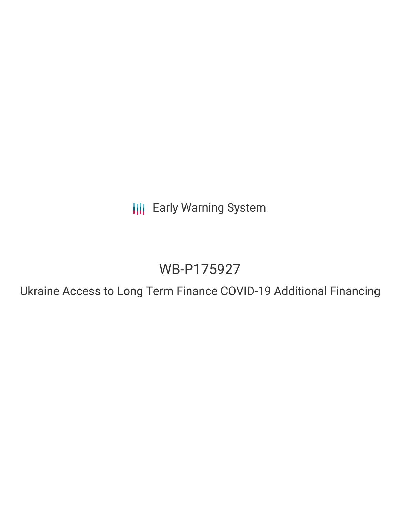**III** Early Warning System

# WB-P175927

Ukraine Access to Long Term Finance COVID-19 Additional Financing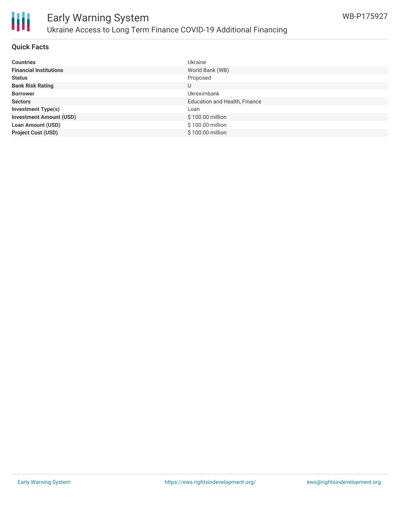

#### **Quick Facts**

| <b>Countries</b>               | Ukraine                       |
|--------------------------------|-------------------------------|
| <b>Financial Institutions</b>  | World Bank (WB)               |
| <b>Status</b>                  | Proposed                      |
| <b>Bank Risk Rating</b>        | U                             |
| <b>Borrower</b>                | <b>Ukreximbank</b>            |
| <b>Sectors</b>                 | Education and Health, Finance |
| <b>Investment Type(s)</b>      | Loan                          |
| <b>Investment Amount (USD)</b> | \$100.00 million              |
| <b>Loan Amount (USD)</b>       | \$100.00 million              |
| <b>Project Cost (USD)</b>      | \$100.00 million              |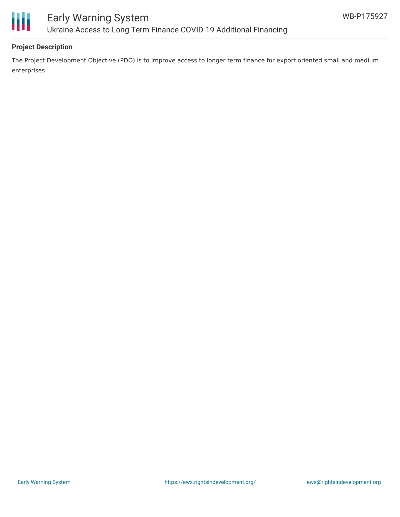

## **Project Description**

The Project Development Objective (PDO) is to improve access to longer term finance for export oriented small and medium enterprises.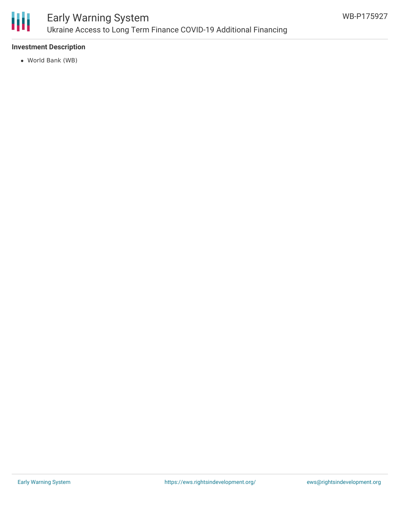

# Early Warning System Ukraine Access to Long Term Finance COVID-19 Additional Financing

### **Investment Description**

World Bank (WB)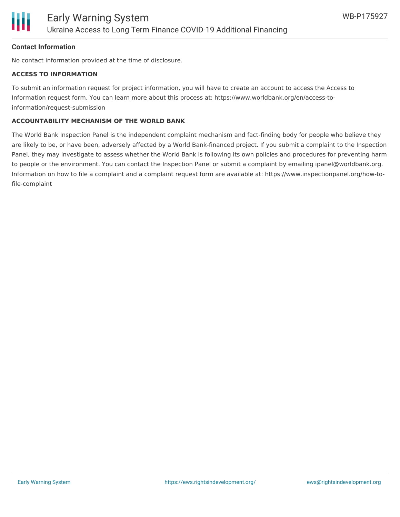

#### **Contact Information**

No contact information provided at the time of disclosure.

#### **ACCESS TO INFORMATION**

To submit an information request for project information, you will have to create an account to access the Access to Information request form. You can learn more about this process at: https://www.worldbank.org/en/access-toinformation/request-submission

#### **ACCOUNTABILITY MECHANISM OF THE WORLD BANK**

The World Bank Inspection Panel is the independent complaint mechanism and fact-finding body for people who believe they are likely to be, or have been, adversely affected by a World Bank-financed project. If you submit a complaint to the Inspection Panel, they may investigate to assess whether the World Bank is following its own policies and procedures for preventing harm to people or the environment. You can contact the Inspection Panel or submit a complaint by emailing ipanel@worldbank.org. Information on how to file a complaint and a complaint request form are available at: https://www.inspectionpanel.org/how-tofile-complaint